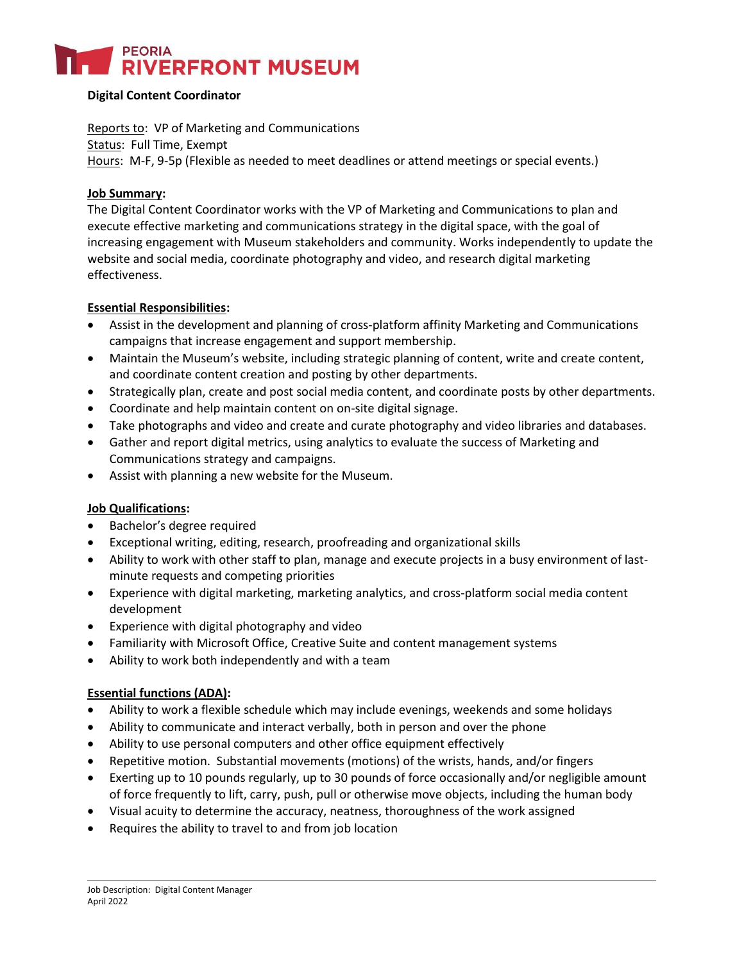# **PEORIA**<br>**RIVERFRONT MUSEUM**

### **Digital Content Coordinator**

Reports to: VP of Marketing and Communications Status: Full Time, Exempt Hours: M-F, 9-5p (Flexible as needed to meet deadlines or attend meetings or special events.)

### **Job Summary:**

The Digital Content Coordinator works with the VP of Marketing and Communications to plan and execute effective marketing and communications strategy in the digital space, with the goal of increasing engagement with Museum stakeholders and community. Works independently to update the website and social media, coordinate photography and video, and research digital marketing effectiveness.

### **Essential Responsibilities:**

- Assist in the development and planning of cross-platform affinity Marketing and Communications campaigns that increase engagement and support membership.
- Maintain the Museum's website, including strategic planning of content, write and create content, and coordinate content creation and posting by other departments.
- Strategically plan, create and post social media content, and coordinate posts by other departments.
- Coordinate and help maintain content on on-site digital signage.
- Take photographs and video and create and curate photography and video libraries and databases.
- Gather and report digital metrics, using analytics to evaluate the success of Marketing and Communications strategy and campaigns.
- Assist with planning a new website for the Museum.

## **Job Qualifications:**

- Bachelor's degree required
- Exceptional writing, editing, research, proofreading and organizational skills
- Ability to work with other staff to plan, manage and execute projects in a busy environment of lastminute requests and competing priorities
- Experience with digital marketing, marketing analytics, and cross-platform social media content development
- Experience with digital photography and video
- Familiarity with Microsoft Office, Creative Suite and content management systems
- Ability to work both independently and with a team

### **Essential functions (ADA):**

- Ability to work a flexible schedule which may include evenings, weekends and some holidays
- Ability to communicate and interact verbally, both in person and over the phone
- Ability to use personal computers and other office equipment effectively
- Repetitive motion. Substantial movements (motions) of the wrists, hands, and/or fingers
- Exerting up to 10 pounds regularly, up to 30 pounds of force occasionally and/or negligible amount of force frequently to lift, carry, push, pull or otherwise move objects, including the human body
- Visual acuity to determine the accuracy, neatness, thoroughness of the work assigned
- Requires the ability to travel to and from job location